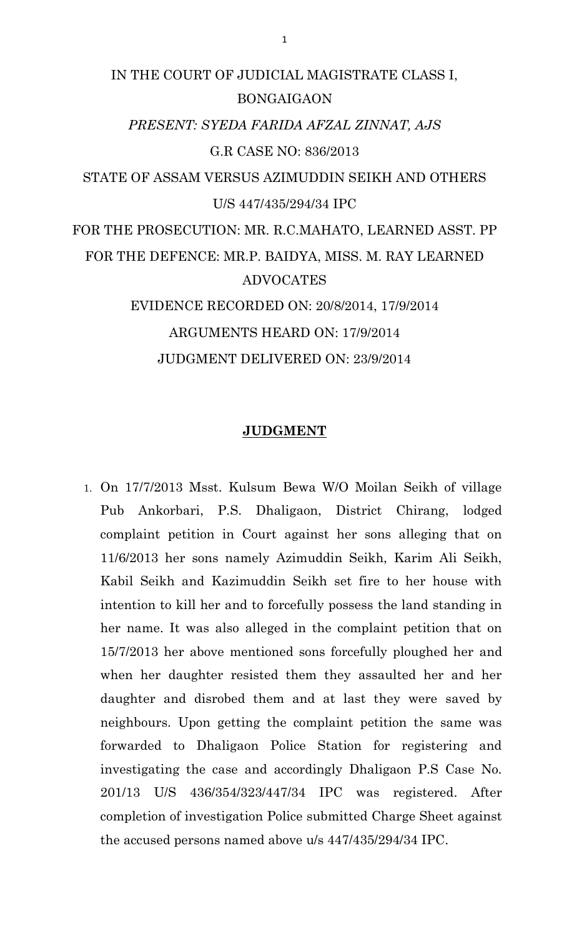# IN THE COURT OF JUDICIAL MAGISTRATE CLASS I, BONGAIGAON *PRESENT: SYEDA FARIDA AFZAL ZINNAT, AJS* G.R CASE NO: 836/2013 STATE OF ASSAM VERSUS AZIMUDDIN SEIKH AND OTHERS U/S 447/435/294/34 IPC FOR THE PROSECUTION: MR. R.C.MAHATO, LEARNED ASST. PP FOR THE DEFENCE: MR.P. BAIDYA, MISS. M. RAY LEARNED ADVOCATES EVIDENCE RECORDED ON: 20/8/2014, 17/9/2014 ARGUMENTS HEARD ON: 17/9/2014 JUDGMENT DELIVERED ON: 23/9/2014

#### **JUDGMENT**

1. On 17/7/2013 Msst. Kulsum Bewa W/O Moilan Seikh of village Pub Ankorbari, P.S. Dhaligaon, District Chirang, lodged complaint petition in Court against her sons alleging that on 11/6/2013 her sons namely Azimuddin Seikh, Karim Ali Seikh, Kabil Seikh and Kazimuddin Seikh set fire to her house with intention to kill her and to forcefully possess the land standing in her name. It was also alleged in the complaint petition that on 15/7/2013 her above mentioned sons forcefully ploughed her and when her daughter resisted them they assaulted her and her daughter and disrobed them and at last they were saved by neighbours. Upon getting the complaint petition the same was forwarded to Dhaligaon Police Station for registering and investigating the case and accordingly Dhaligaon P.S Case No. 201/13 U/S 436/354/323/447/34 IPC was registered. After completion of investigation Police submitted Charge Sheet against the accused persons named above u/s 447/435/294/34 IPC.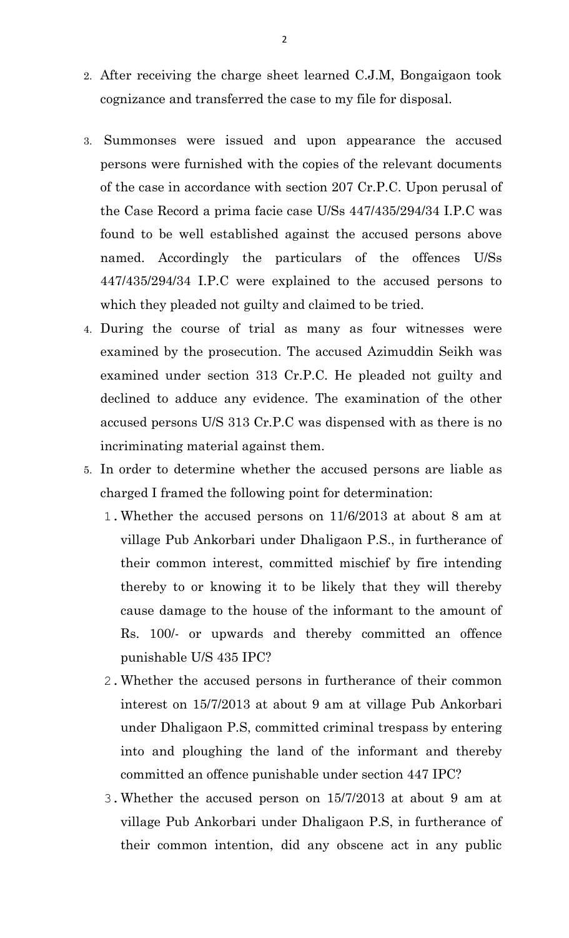- 2. After receiving the charge sheet learned C.J.M, Bongaigaon took cognizance and transferred the case to my file for disposal.
- 3. Summonses were issued and upon appearance the accused persons were furnished with the copies of the relevant documents of the case in accordance with section 207 Cr.P.C. Upon perusal of the Case Record a prima facie case U/Ss 447/435/294/34 I.P.C was found to be well established against the accused persons above named. Accordingly the particulars of the offences U/Ss 447/435/294/34 I.P.C were explained to the accused persons to which they pleaded not guilty and claimed to be tried.
- 4. During the course of trial as many as four witnesses were examined by the prosecution. The accused Azimuddin Seikh was examined under section 313 Cr.P.C. He pleaded not guilty and declined to adduce any evidence. The examination of the other accused persons U/S 313 Cr.P.C was dispensed with as there is no incriminating material against them.
- 5. In order to determine whether the accused persons are liable as charged I framed the following point for determination:
	- 1.Whether the accused persons on 11/6/2013 at about 8 am at village Pub Ankorbari under Dhaligaon P.S., in furtherance of their common interest, committed mischief by fire intending thereby to or knowing it to be likely that they will thereby cause damage to the house of the informant to the amount of Rs. 100/- or upwards and thereby committed an offence punishable U/S 435 IPC?
	- 2.Whether the accused persons in furtherance of their common interest on 15/7/2013 at about 9 am at village Pub Ankorbari under Dhaligaon P.S, committed criminal trespass by entering into and ploughing the land of the informant and thereby committed an offence punishable under section 447 IPC?
	- 3.Whether the accused person on 15/7/2013 at about 9 am at village Pub Ankorbari under Dhaligaon P.S, in furtherance of their common intention, did any obscene act in any public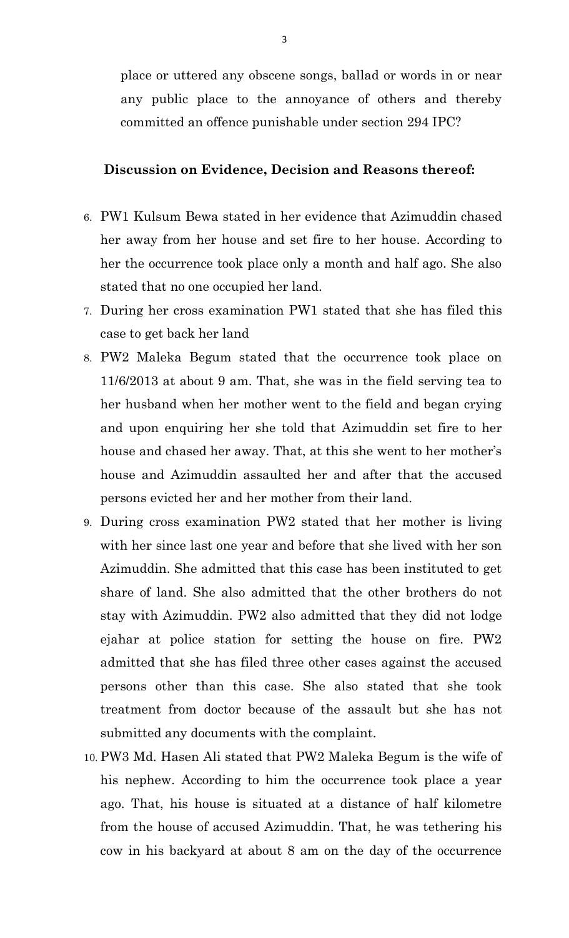place or uttered any obscene songs, ballad or words in or near any public place to the annoyance of others and thereby committed an offence punishable under section 294 IPC?

### **Discussion on Evidence, Decision and Reasons thereof:**

- 6. PW1 Kulsum Bewa stated in her evidence that Azimuddin chased her away from her house and set fire to her house. According to her the occurrence took place only a month and half ago. She also stated that no one occupied her land.
- 7. During her cross examination PW1 stated that she has filed this case to get back her land
- 8. PW2 Maleka Begum stated that the occurrence took place on 11/6/2013 at about 9 am. That, she was in the field serving tea to her husband when her mother went to the field and began crying and upon enquiring her she told that Azimuddin set fire to her house and chased her away. That, at this she went to her mother's house and Azimuddin assaulted her and after that the accused persons evicted her and her mother from their land.
- 9. During cross examination PW2 stated that her mother is living with her since last one year and before that she lived with her son Azimuddin. She admitted that this case has been instituted to get share of land. She also admitted that the other brothers do not stay with Azimuddin. PW2 also admitted that they did not lodge ejahar at police station for setting the house on fire. PW2 admitted that she has filed three other cases against the accused persons other than this case. She also stated that she took treatment from doctor because of the assault but she has not submitted any documents with the complaint.
- 10. PW3 Md. Hasen Ali stated that PW2 Maleka Begum is the wife of his nephew. According to him the occurrence took place a year ago. That, his house is situated at a distance of half kilometre from the house of accused Azimuddin. That, he was tethering his cow in his backyard at about 8 am on the day of the occurrence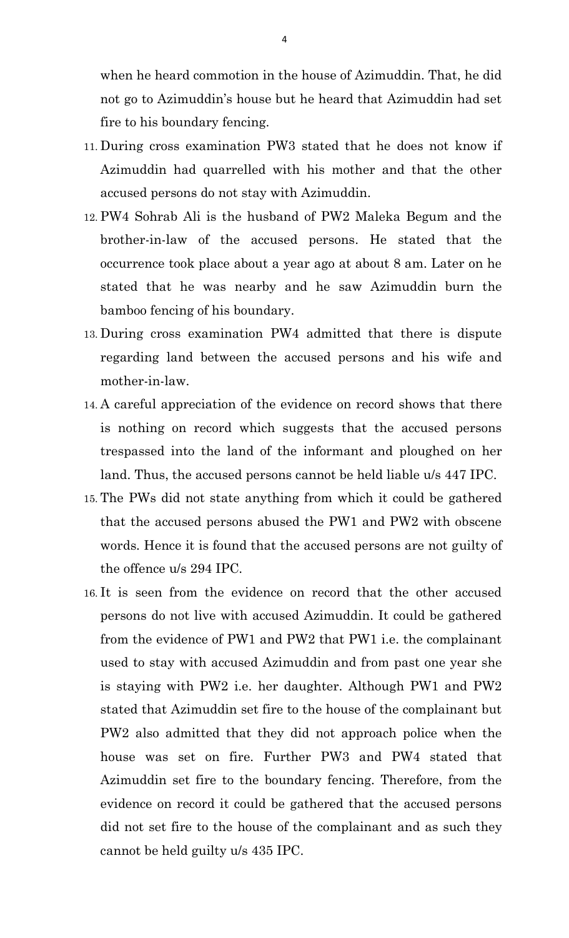when he heard commotion in the house of Azimuddin. That, he did not go to Azimuddin's house but he heard that Azimuddin had set fire to his boundary fencing.

- 11. During cross examination PW3 stated that he does not know if Azimuddin had quarrelled with his mother and that the other accused persons do not stay with Azimuddin.
- 12. PW4 Sohrab Ali is the husband of PW2 Maleka Begum and the brother-in-law of the accused persons. He stated that the occurrence took place about a year ago at about 8 am. Later on he stated that he was nearby and he saw Azimuddin burn the bamboo fencing of his boundary.
- 13. During cross examination PW4 admitted that there is dispute regarding land between the accused persons and his wife and mother-in-law.
- 14. A careful appreciation of the evidence on record shows that there is nothing on record which suggests that the accused persons trespassed into the land of the informant and ploughed on her land. Thus, the accused persons cannot be held liable u/s 447 IPC.
- 15. The PWs did not state anything from which it could be gathered that the accused persons abused the PW1 and PW2 with obscene words. Hence it is found that the accused persons are not guilty of the offence u/s 294 IPC.
- 16. It is seen from the evidence on record that the other accused persons do not live with accused Azimuddin. It could be gathered from the evidence of PW1 and PW2 that PW1 i.e. the complainant used to stay with accused Azimuddin and from past one year she is staying with PW2 i.e. her daughter. Although PW1 and PW2 stated that Azimuddin set fire to the house of the complainant but PW2 also admitted that they did not approach police when the house was set on fire. Further PW3 and PW4 stated that Azimuddin set fire to the boundary fencing. Therefore, from the evidence on record it could be gathered that the accused persons did not set fire to the house of the complainant and as such they cannot be held guilty u/s 435 IPC.